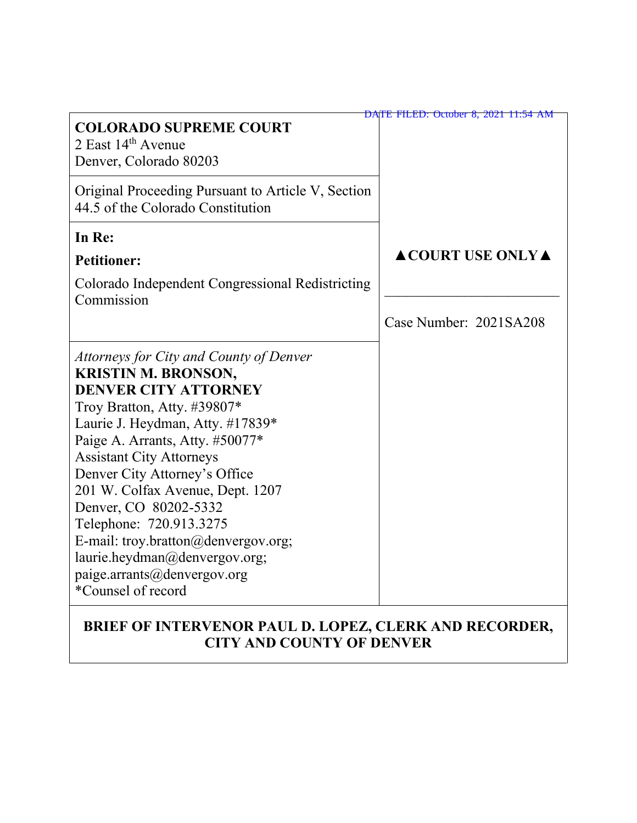|                                                                                                                                                                                                                                                                                                                                                                                                                                                                                                     | DATE FILED: October 8, 2021 11:54 AM |
|-----------------------------------------------------------------------------------------------------------------------------------------------------------------------------------------------------------------------------------------------------------------------------------------------------------------------------------------------------------------------------------------------------------------------------------------------------------------------------------------------------|--------------------------------------|
| <b>COLORADO SUPREME COURT</b><br>2 East $14th$ Avenue<br>Denver, Colorado 80203                                                                                                                                                                                                                                                                                                                                                                                                                     |                                      |
| Original Proceeding Pursuant to Article V, Section<br>44.5 of the Colorado Constitution                                                                                                                                                                                                                                                                                                                                                                                                             |                                      |
| In Re:                                                                                                                                                                                                                                                                                                                                                                                                                                                                                              |                                      |
| <b>Petitioner:</b>                                                                                                                                                                                                                                                                                                                                                                                                                                                                                  | <b>ACOURT USE ONLY A</b>             |
| Colorado Independent Congressional Redistricting<br>Commission                                                                                                                                                                                                                                                                                                                                                                                                                                      |                                      |
|                                                                                                                                                                                                                                                                                                                                                                                                                                                                                                     | Case Number: 2021SA208               |
| Attorneys for City and County of Denver<br><b>KRISTIN M. BRONSON,</b><br><b>DENVER CITY ATTORNEY</b><br>Troy Bratton, Atty. #39807*<br>Laurie J. Heydman, Atty. #17839*<br>Paige A. Arrants, Atty. #50077*<br><b>Assistant City Attorneys</b><br>Denver City Attorney's Office<br>201 W. Colfax Avenue, Dept. 1207<br>Denver, CO 80202-5332<br>Telephone: 720.913.3275<br>E-mail: troy.bratton@denvergov.org;<br>laurie.heydman@denvergov.org;<br>paige.arrants@denvergov.org<br>*Counsel of record |                                      |
| DDIEE OE INTEDVENOD DAII<br>78DEZ                                                                                                                                                                                                                                                                                                                                                                                                                                                                   | <b>FDIZ AND DECADDED</b>             |

### **BRIEF OF INTERVENOR PAUL D. LOPEZ, CLERK AND RECORDER, CITY AND COUNTY OF DENVER**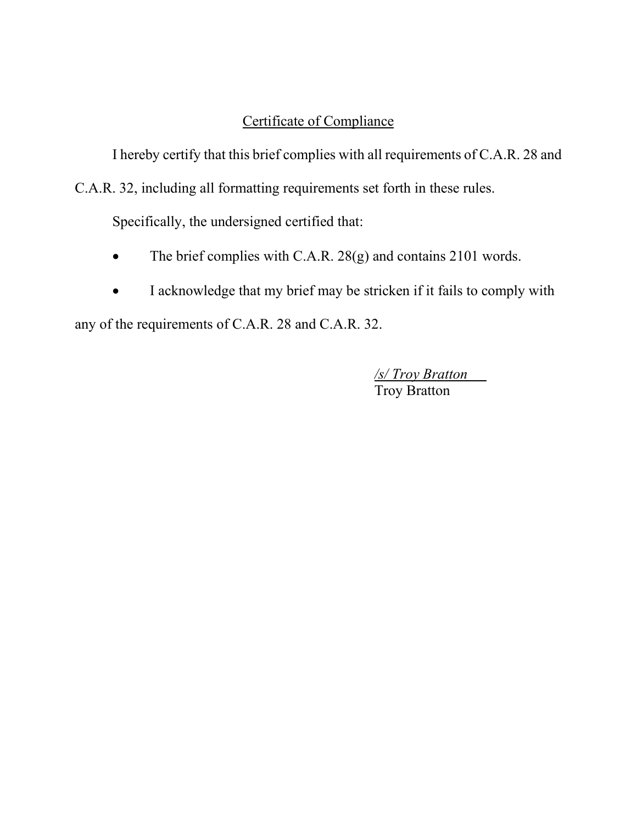## Certificate of Compliance

I hereby certify that this brief complies with all requirements of C.A.R. 28 and

C.A.R. 32, including all formatting requirements set forth in these rules.

Specifically, the undersigned certified that:

- The brief complies with C.A.R. 28(g) and contains 2101 words.
- I acknowledge that my brief may be stricken if it fails to comply with

any of the requirements of C.A.R. 28 and C.A.R. 32.

*/s/ Troy Bratton* Troy Bratton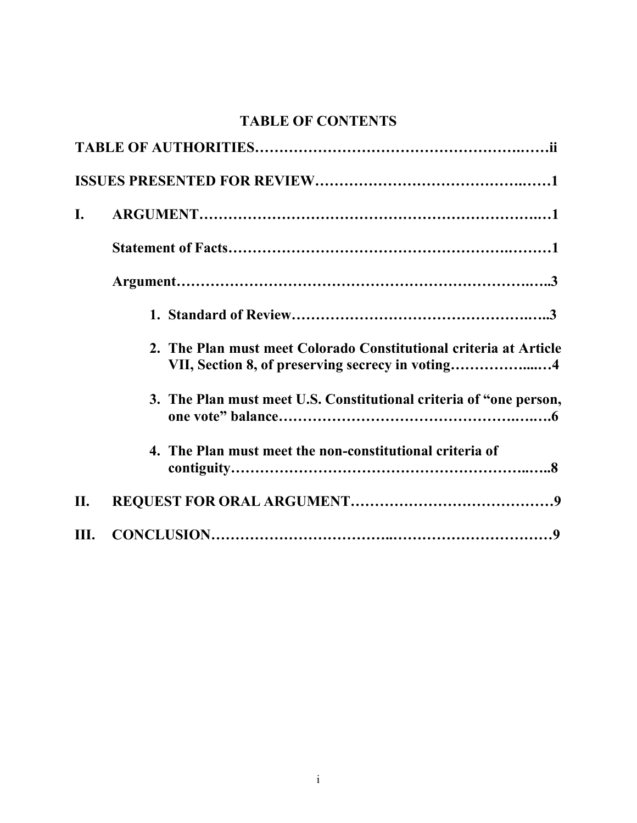# **TABLE OF CONTENTS**

| I.   |                                                                    |
|------|--------------------------------------------------------------------|
|      |                                                                    |
|      |                                                                    |
|      |                                                                    |
|      | 2. The Plan must meet Colorado Constitutional criteria at Article  |
|      | 3. The Plan must meet U.S. Constitutional criteria of "one person, |
|      | 4. The Plan must meet the non-constitutional criteria of           |
| II.  |                                                                    |
| III. |                                                                    |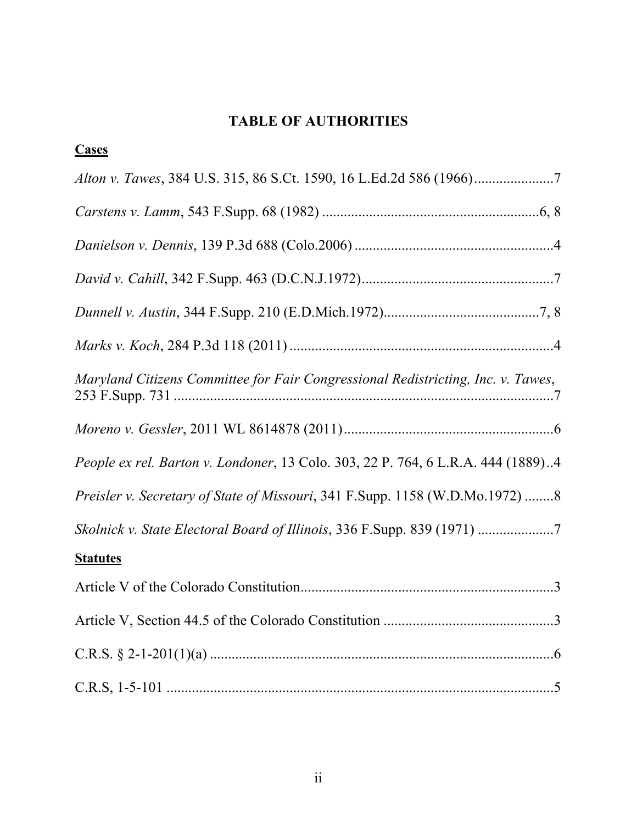# **TABLE OF AUTHORITIES**

| <b>Cases</b>                                                                     |
|----------------------------------------------------------------------------------|
|                                                                                  |
|                                                                                  |
|                                                                                  |
|                                                                                  |
|                                                                                  |
|                                                                                  |
| Maryland Citizens Committee for Fair Congressional Redistricting, Inc. v. Tawes, |
|                                                                                  |
| People ex rel. Barton v. Londoner, 13 Colo. 303, 22 P. 764, 6 L.R.A. 444 (1889)4 |
| Preisler v. Secretary of State of Missouri, 341 F.Supp. 1158 (W.D.Mo.1972) 8     |
| Skolnick v. State Electoral Board of Illinois, 336 F.Supp. 839 (1971) 7          |
| <b>Statutes</b>                                                                  |
|                                                                                  |
|                                                                                  |
|                                                                                  |
|                                                                                  |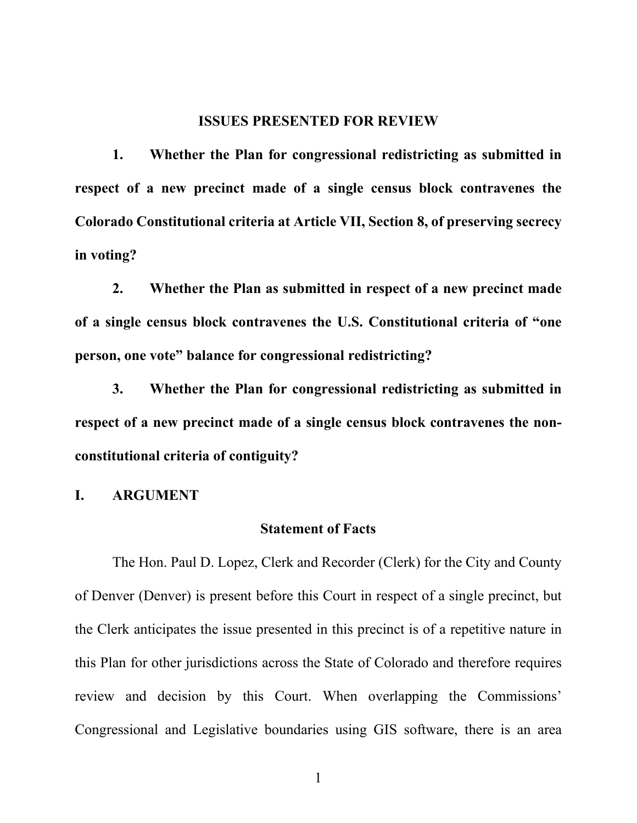#### **ISSUES PRESENTED FOR REVIEW**

**1. Whether the Plan for congressional redistricting as submitted in respect of a new precinct made of a single census block contravenes the Colorado Constitutional criteria at Article VII, Section 8, of preserving secrecy in voting?**

**2. Whether the Plan as submitted in respect of a new precinct made of a single census block contravenes the U.S. Constitutional criteria of "one person, one vote" balance for congressional redistricting?**

**3. Whether the Plan for congressional redistricting as submitted in respect of a new precinct made of a single census block contravenes the nonconstitutional criteria of contiguity?**

#### **I. ARGUMENT**

#### **Statement of Facts**

The Hon. Paul D. Lopez, Clerk and Recorder (Clerk) for the City and County of Denver (Denver) is present before this Court in respect of a single precinct, but the Clerk anticipates the issue presented in this precinct is of a repetitive nature in this Plan for other jurisdictions across the State of Colorado and therefore requires review and decision by this Court. When overlapping the Commissions' Congressional and Legislative boundaries using GIS software, there is an area

1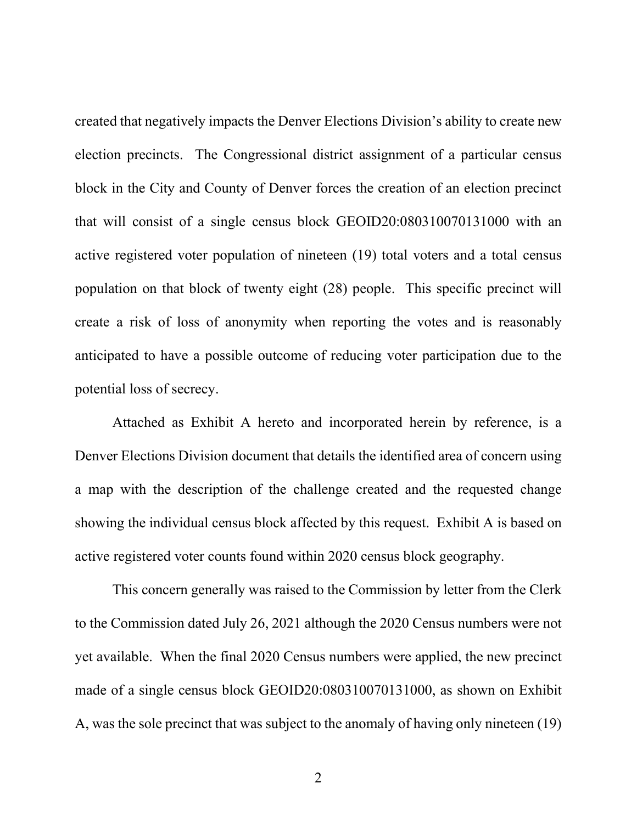created that negatively impacts the Denver Elections Division's ability to create new election precincts. The Congressional district assignment of a particular census block in the City and County of Denver forces the creation of an election precinct that will consist of a single census block GEOID20:080310070131000 with an active registered voter population of nineteen (19) total voters and a total census population on that block of twenty eight (28) people. This specific precinct will create a risk of loss of anonymity when reporting the votes and is reasonably anticipated to have a possible outcome of reducing voter participation due to the potential loss of secrecy.

Attached as Exhibit A hereto and incorporated herein by reference, is a Denver Elections Division document that details the identified area of concern using a map with the description of the challenge created and the requested change showing the individual census block affected by this request. Exhibit A is based on active registered voter counts found within 2020 census block geography.

This concern generally was raised to the Commission by letter from the Clerk to the Commission dated July 26, 2021 although the 2020 Census numbers were not yet available. When the final 2020 Census numbers were applied, the new precinct made of a single census block GEOID20:080310070131000, as shown on Exhibit A, was the sole precinct that was subject to the anomaly of having only nineteen (19)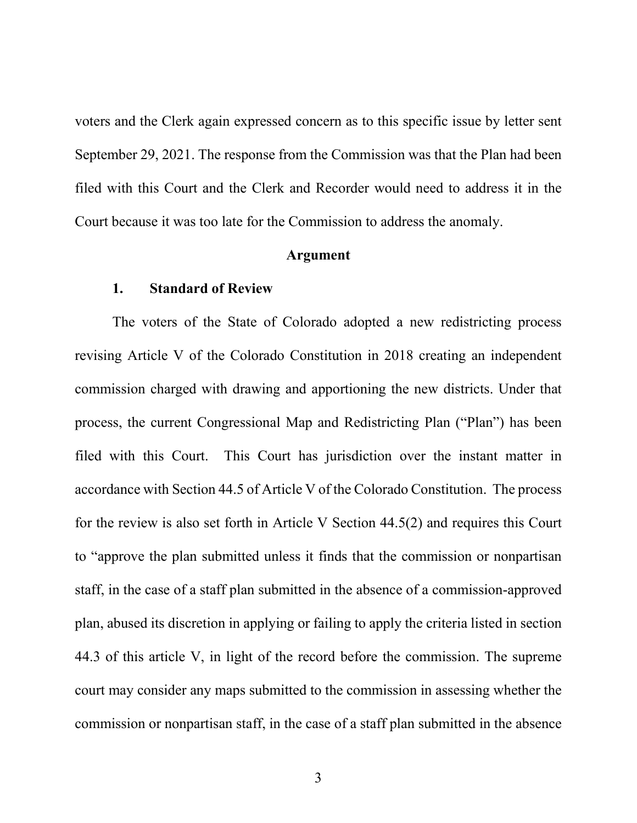voters and the Clerk again expressed concern as to this specific issue by letter sent September 29, 2021. The response from the Commission was that the Plan had been filed with this Court and the Clerk and Recorder would need to address it in the Court because it was too late for the Commission to address the anomaly.

#### **Argument**

#### **1. Standard of Review**

The voters of the State of Colorado adopted a new redistricting process revising Article V of the Colorado Constitution in 2018 creating an independent commission charged with drawing and apportioning the new districts. Under that process, the current Congressional Map and Redistricting Plan ("Plan") has been filed with this Court. This Court has jurisdiction over the instant matter in accordance with Section 44.5 of Article V of the Colorado Constitution. The process for the review is also set forth in Article V Section 44.5(2) and requires this Court to "approve the plan submitted unless it finds that the commission or nonpartisan staff, in the case of a staff plan submitted in the absence of a commission-approved plan, abused its discretion in applying or failing to apply the criteria listed in section 44.3 of this article V, in light of the record before the commission. The supreme court may consider any maps submitted to the commission in assessing whether the commission or nonpartisan staff, in the case of a staff plan submitted in the absence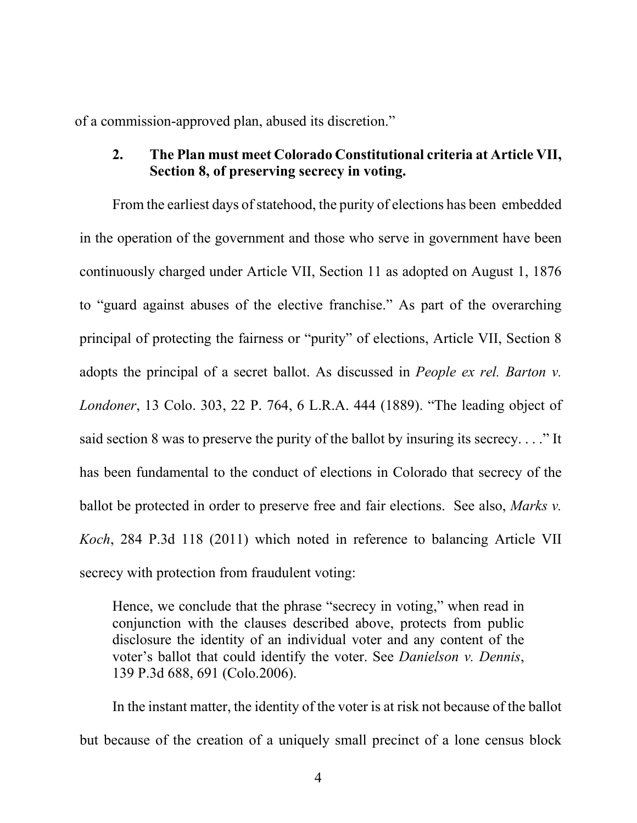of a commission-approved plan, abused its discretion."

### **2. The Plan must meet Colorado Constitutional criteria at Article VII, Section 8, of preserving secrecy in voting.**

From the earliest days of statehood, the purity of elections has been embedded in the operation of the government and those who serve in government have been continuously charged under Article VII, Section 11 as adopted on August 1, 1876 to "guard against abuses of the elective franchise." As part of the overarching principal of protecting the fairness or "purity" of elections, Article VII, Section 8 adopts the principal of a secret ballot. As discussed in *People ex rel. Barton v. Londoner*, 13 Colo. 303, 22 P. 764, 6 L.R.A. 444 (1889). "The leading object of said section 8 was to preserve the purity of the ballot by insuring its secrecy. . . ." It has been fundamental to the conduct of elections in Colorado that secrecy of the ballot be protected in order to preserve free and fair elections. See also, *Marks v. Koch*, 284 P.3d 118 (2011) which noted in reference to balancing Article VII secrecy with protection from fraudulent voting:

Hence, we conclude that the phrase "secrecy in voting," when read in conjunction with the clauses described above, protects from public disclosure the identity of an individual voter and any content of the voter's ballot that could identify the voter. See *Danielson v. Dennis*, 139 P.3d 688, 691 (Colo.2006).

In the instant matter, the identity of the voter is at risk not because of the ballot but because of the creation of a uniquely small precinct of a lone census block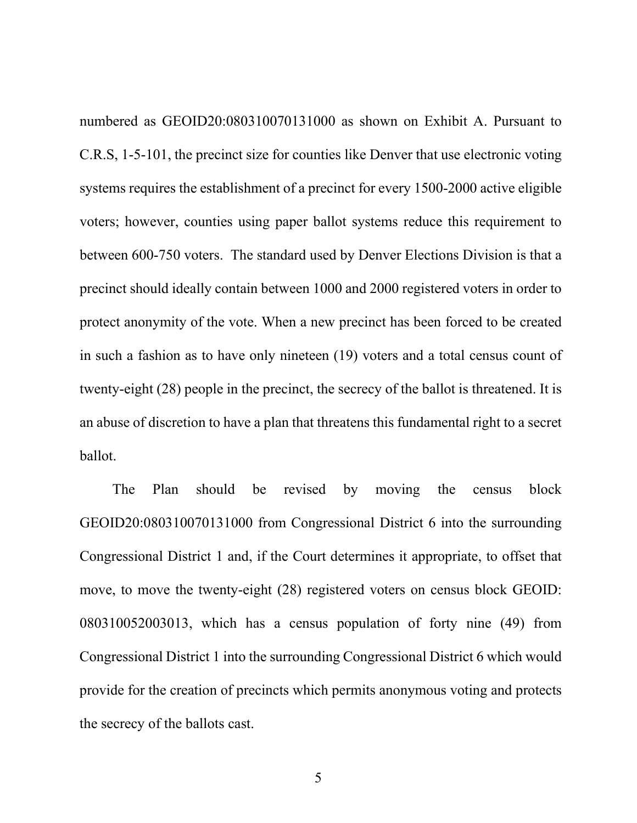numbered as GEOID20:080310070131000 as shown on Exhibit A. Pursuant to C.R.S, 1-5-101, the precinct size for counties like Denver that use electronic voting systems requires the establishment of a precinct for every 1500-2000 active eligible voters; however, counties using paper ballot systems reduce this requirement to between 600-750 voters. The standard used by Denver Elections Division is that a precinct should ideally contain between 1000 and 2000 registered voters in order to protect anonymity of the vote. When a new precinct has been forced to be created in such a fashion as to have only nineteen (19) voters and a total census count of twenty-eight (28) people in the precinct, the secrecy of the ballot is threatened. It is an abuse of discretion to have a plan that threatens this fundamental right to a secret ballot.

The Plan should be revised by moving the census block GEOID20:080310070131000 from Congressional District 6 into the surrounding Congressional District 1 and, if the Court determines it appropriate, to offset that move, to move the twenty-eight (28) registered voters on census block GEOID: 080310052003013, which has a census population of forty nine (49) from Congressional District 1 into the surrounding Congressional District 6 which would provide for the creation of precincts which permits anonymous voting and protects the secrecy of the ballots cast.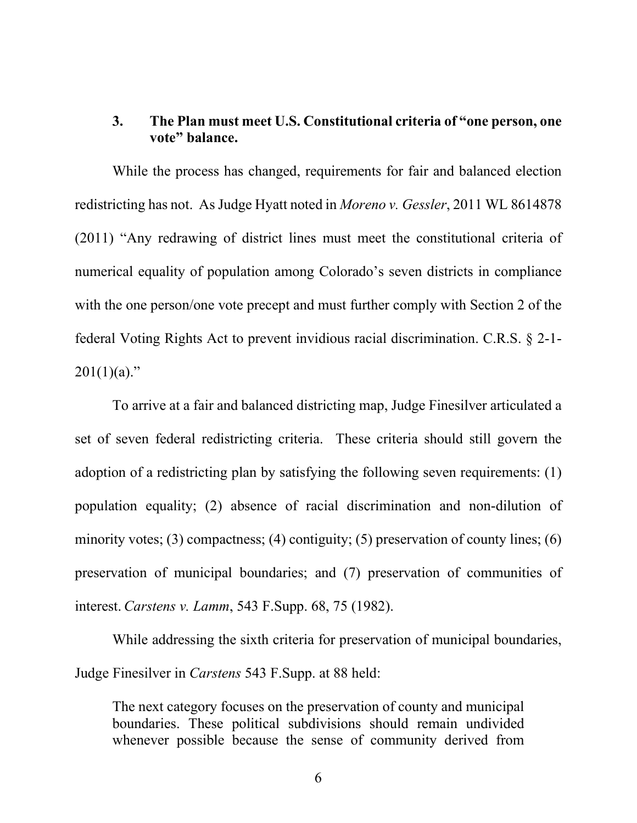### **3. The Plan must meet U.S. Constitutional criteria of "one person, one vote" balance.**

While the process has changed, requirements for fair and balanced election redistricting has not. As Judge Hyatt noted in *Moreno v. Gessler*, 2011 WL 8614878 (2011) "Any redrawing of district lines must meet the constitutional criteria of numerical equality of population among Colorado's seven districts in compliance with the one person/one vote precept and must further comply with Section 2 of the federal Voting Rights Act to prevent invidious racial discrimination. C.R.S. § 2-1-  $201(1)(a)$ ."

To arrive at a fair and balanced districting map, Judge Finesilver articulated a set of seven federal redistricting criteria. These criteria should still govern the adoption of a redistricting plan by satisfying the following seven requirements: (1) population equality; (2) absence of racial discrimination and non-dilution of minority votes; (3) compactness; (4) contiguity; (5) preservation of county lines; (6) preservation of municipal boundaries; and (7) preservation of communities of interest. *Carstens v. Lamm*, 543 F.Supp. 68, 75 (1982).

While addressing the sixth criteria for preservation of municipal boundaries, Judge Finesilver in *Carstens* 543 F.Supp. at 88 held:

The next category focuses on the preservation of county and municipal boundaries. These political subdivisions should remain undivided whenever possible because the sense of community derived from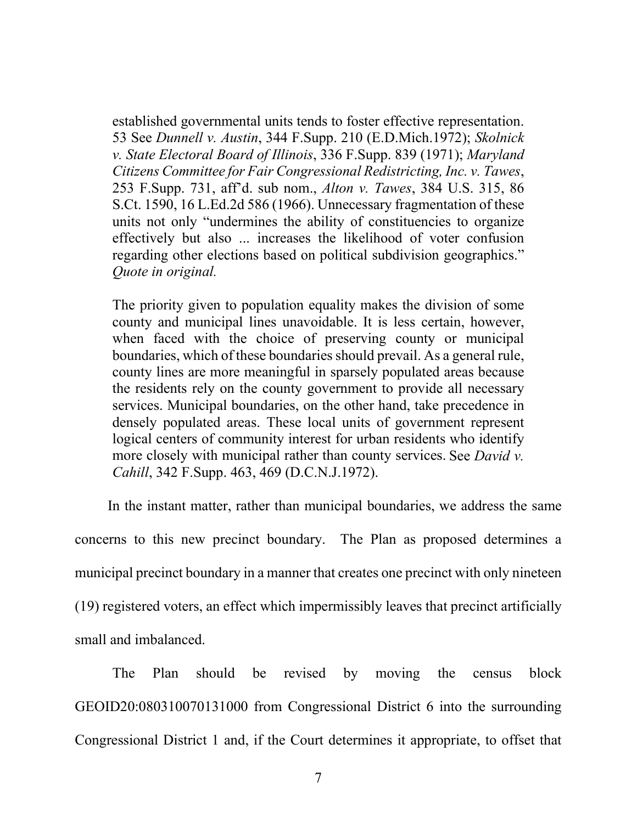established governmental units tends to foster effective representation. 53 See *Dunnell v. Austin*, 344 F.Supp. 210 (E.D.Mich.1972); *Skolnick v. State Electoral Board of Illinois*, 336 F.Supp. 839 (1971); *Maryland Citizens Committee for Fair Congressional Redistricting, Inc. v. Tawes*, 253 F.Supp. 731, aff'd. sub nom., *Alton v. Tawes*, 384 U.S. 315, 86 S.Ct. 1590, 16 L.Ed.2d 586 (1966). Unnecessary fragmentation of these units not only "undermines the ability of constituencies to organize effectively but also ... increases the likelihood of voter confusion regarding other elections based on political subdivision geographics." *Quote in original.* 

The priority given to population equality makes the division of some county and municipal lines unavoidable. It is less certain, however, when faced with the choice of preserving county or municipal boundaries, which of these boundaries should prevail. As a general rule, county lines are more meaningful in sparsely populated areas because the residents rely on the county government to provide all necessary services. Municipal boundaries, on the other hand, take precedence in densely populated areas. These local units of government represent logical centers of community interest for urban residents who identify more closely with municipal rather than county services. See *David v. Cahill*, 342 F.Supp. 463, 469 (D.C.N.J.1972).

In the instant matter, rather than municipal boundaries, we address the same concerns to this new precinct boundary. The Plan as proposed determines a municipal precinct boundary in a manner that creates one precinct with only nineteen (19) registered voters, an effect which impermissibly leaves that precinct artificially small and imbalanced.

The Plan should be revised by moving the census block GEOID20:080310070131000 from Congressional District 6 into the surrounding Congressional District 1 and, if the Court determines it appropriate, to offset that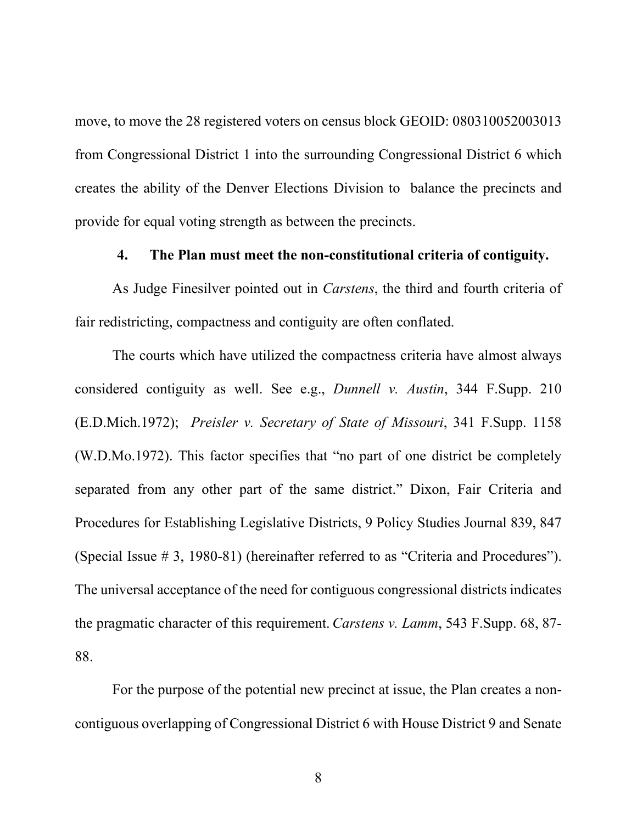move, to move the 28 registered voters on census block GEOID: 080310052003013 from Congressional District 1 into the surrounding Congressional District 6 which creates the ability of the Denver Elections Division to balance the precincts and provide for equal voting strength as between the precincts.

### **4. The Plan must meet the non-constitutional criteria of contiguity.**

As Judge Finesilver pointed out in *Carstens*, the third and fourth criteria of fair redistricting, compactness and contiguity are often conflated.

The courts which have utilized the compactness criteria have almost always considered contiguity as well. See e.g., *Dunnell v. Austin*, 344 F.Supp. 210 (E.D.Mich.1972); *Preisler v. Secretary of State of Missouri*, 341 F.Supp. 1158 (W.D.Mo.1972). This factor specifies that "no part of one district be completely separated from any other part of the same district." Dixon, Fair Criteria and Procedures for Establishing Legislative Districts, 9 Policy Studies Journal 839, 847 (Special Issue # 3, 1980-81) (hereinafter referred to as "Criteria and Procedures"). The universal acceptance of the need for contiguous congressional districts indicates the pragmatic character of this requirement. *Carstens v. Lamm*, 543 F.Supp. 68, 87- 88.

For the purpose of the potential new precinct at issue, the Plan creates a noncontiguous overlapping of Congressional District 6 with House District 9 and Senate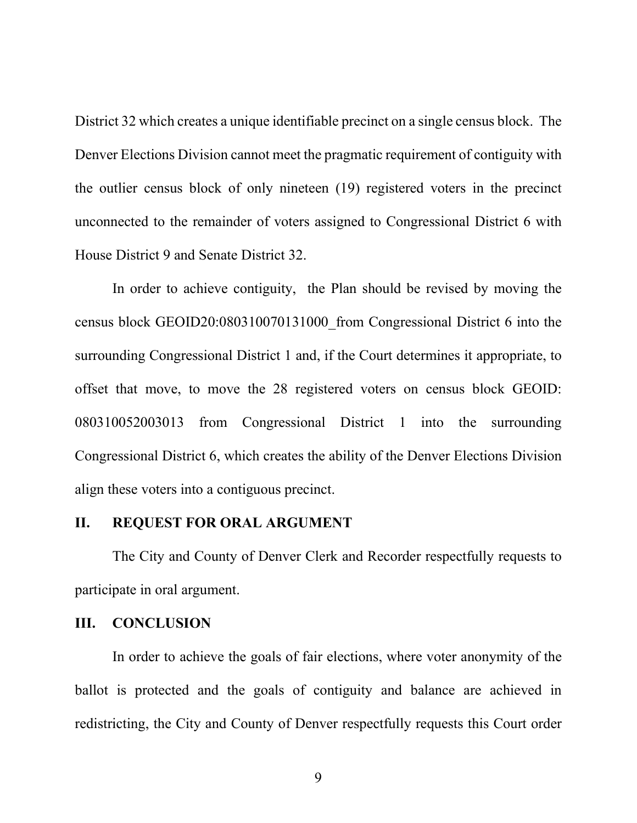District 32 which creates a unique identifiable precinct on a single census block. The Denver Elections Division cannot meet the pragmatic requirement of contiguity with the outlier census block of only nineteen (19) registered voters in the precinct unconnected to the remainder of voters assigned to Congressional District 6 with House District 9 and Senate District 32.

In order to achieve contiguity, the Plan should be revised by moving the census block GEOID20:080310070131000\_from Congressional District 6 into the surrounding Congressional District 1 and, if the Court determines it appropriate, to offset that move, to move the 28 registered voters on census block GEOID: 080310052003013 from Congressional District 1 into the surrounding Congressional District 6, which creates the ability of the Denver Elections Division align these voters into a contiguous precinct.

#### **II. REQUEST FOR ORAL ARGUMENT**

The City and County of Denver Clerk and Recorder respectfully requests to participate in oral argument.

#### **III. CONCLUSION**

In order to achieve the goals of fair elections, where voter anonymity of the ballot is protected and the goals of contiguity and balance are achieved in redistricting, the City and County of Denver respectfully requests this Court order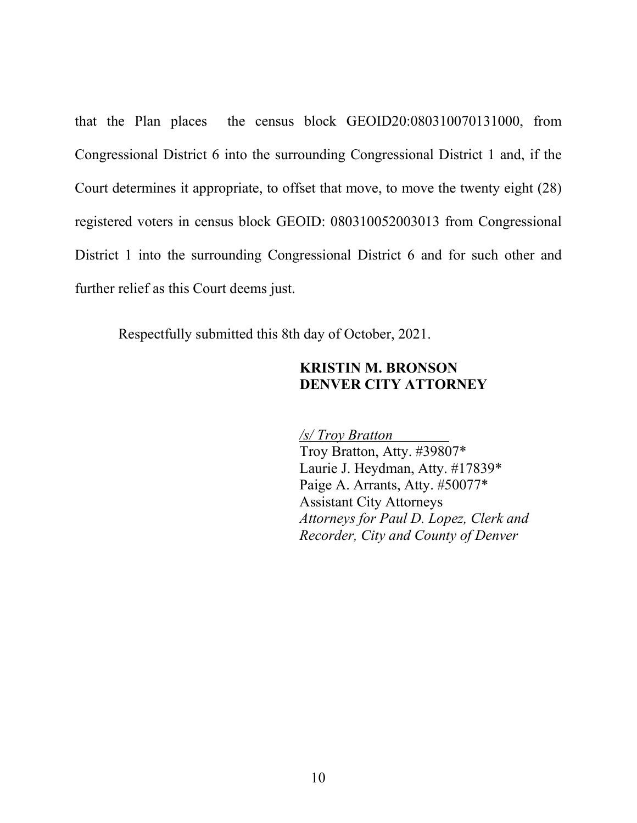that the Plan places the census block GEOID20:080310070131000, from Congressional District 6 into the surrounding Congressional District 1 and, if the Court determines it appropriate, to offset that move, to move the twenty eight (28) registered voters in census block GEOID: 080310052003013 from Congressional District 1 into the surrounding Congressional District 6 and for such other and further relief as this Court deems just.

Respectfully submitted this 8th day of October, 2021.

### **KRISTIN M. BRONSON DENVER CITY ATTORNEY**

*/s/ Troy Bratton* Troy Bratton, Atty. #39807\* Laurie J. Heydman, Atty. #17839\* Paige A. Arrants, Atty. #50077\* Assistant City Attorneys *Attorneys for Paul D. Lopez, Clerk and Recorder, City and County of Denver*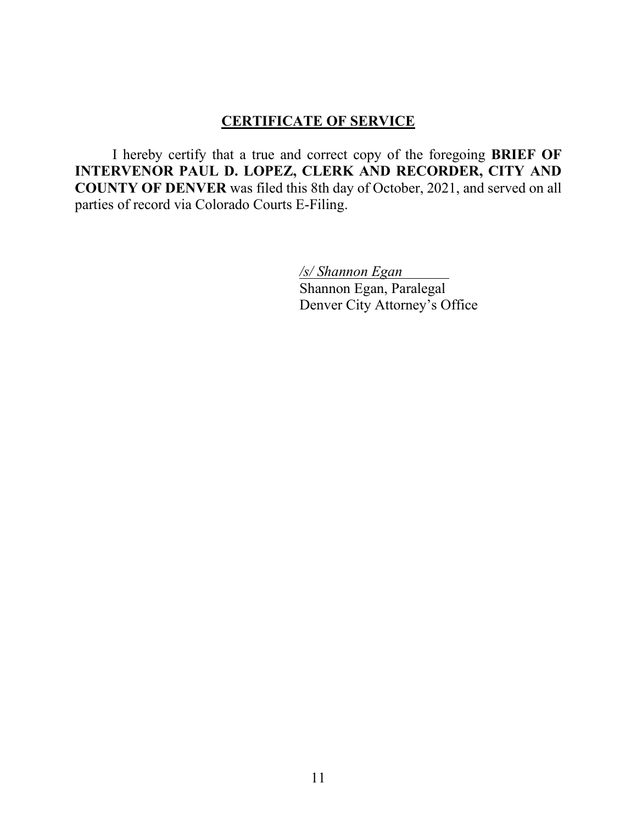### **CERTIFICATE OF SERVICE**

I hereby certify that a true and correct copy of the foregoing **BRIEF OF INTERVENOR PAUL D. LOPEZ, CLERK AND RECORDER, CITY AND COUNTY OF DENVER** was filed this 8th day of October, 2021, and served on all parties of record via Colorado Courts E-Filing.

> */s/ Shannon Egan* Shannon Egan, Paralegal Denver City Attorney's Office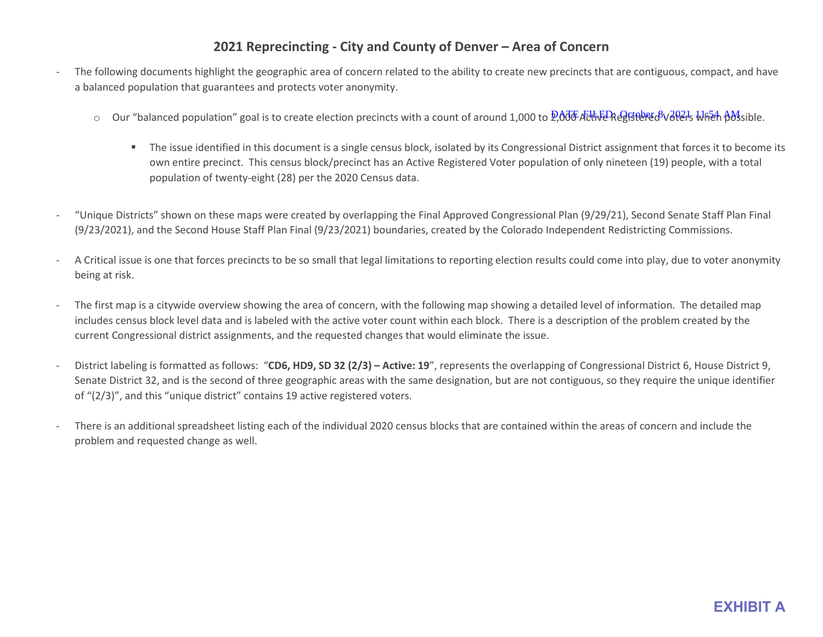### **2021 Reprecincting - City and County of Denver – Area of Concern**

- The following documents highlight the geographic area of concern related to the ability to create new precincts that are contiguous, compact, and have a balanced population that guarantees and protects voter anonymity.
	- Our "balanced population" goal is to create election precincts with a count of around 1,000 to 2,000 Active Registered Voters When possible.
		- The issue identified in this document is a single census block, isolated by its Congressional District assignment that forces it to become its own entire precinct. This census block/precinct has an Active Registered Voter population of only nineteen (19) people, with a total population of twenty-eight (28) per the 2020 Census data.
- "Unique Districts" shown on these maps were created by overlapping the Final Approved Congressional Plan (9/29/21), Second Senate Staff Plan Final (9/23/2021), and the Second House Staff Plan Final (9/23/2021) boundaries, created by the Colorado Independent Redistricting Commissions.
- A Critical issue is one that forces precincts to be so small that legal limitations to reporting election results could come into play, due to voter anonymity being at risk.
- The first map is a citywide overview showing the area of concern, with the following map showing a detailed level of information. The detailed map includes census block level data and is labeled with the active voter count within each block. There is a description of the problem created by the current Congressional district assignments, and the requested changes that would eliminate the issue.
- District labeling is formatted as follows: "**CD6, HD9, SD 32 (2/3) Active: 19**", represents the overlapping of Congressional District 6, House District 9, Senate District 32, and is the second of three geographic areas with the same designation, but are not contiguous, so they require the unique identifier of "(2/3)", and this "unique district" contains 19 active registered voters.
- There is an additional spreadsheet listing each of the individual 2020 census blocks that are contained within the areas of concern and include the problem and requested change as well.

## **EXHIBIT A**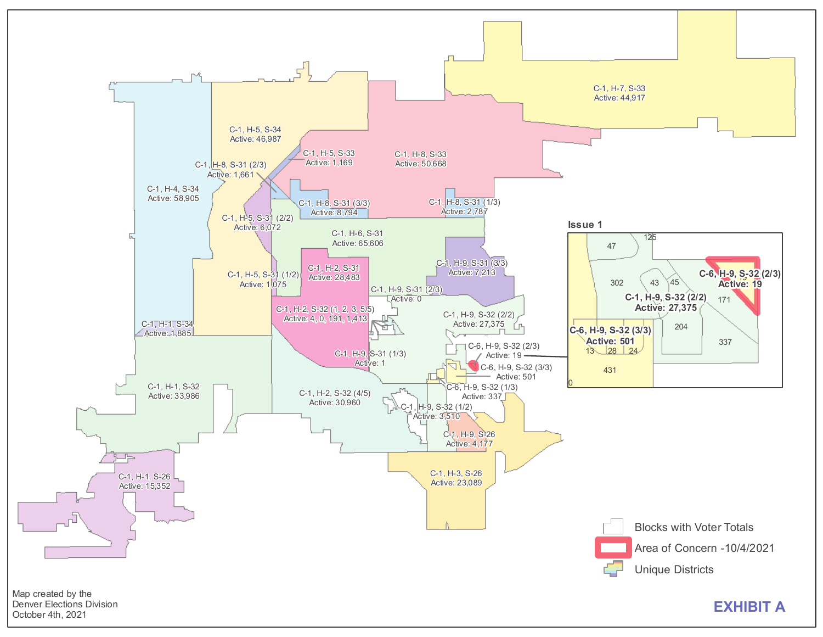